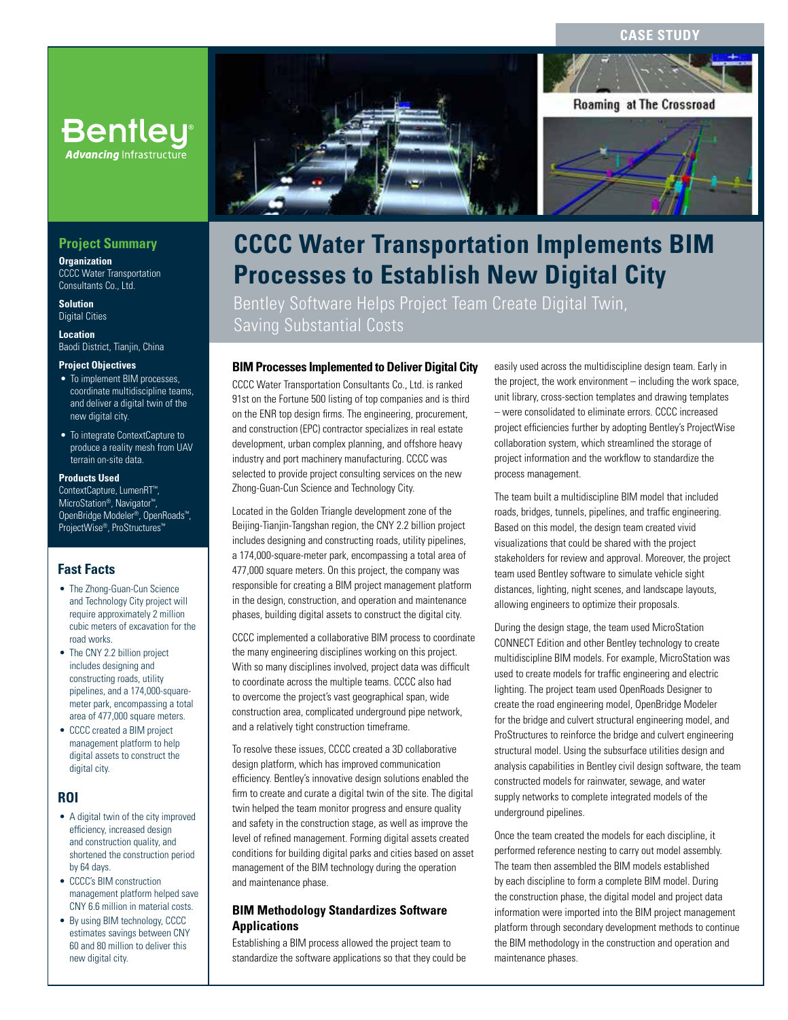## **CASE STUD**



# **CCCC Water Transportation Implements BIM Processes to Establish New Digital City**

Bentley Software Helps Project Team Create Digital Twin, Saving Substantial Costs

# **BIM Processes Implemented to Deliver Digital City**

CCCC Water Transportation Consultants Co., Ltd. is ranked 91st on the Fortune 500 listing of top companies and is third on the ENR top design firms. The engineering, procurement, and construction (EPC) contractor specializes in real estate development, urban complex planning, and offshore heavy industry and port machinery manufacturing. CCCC was selected to provide project consulting services on the new Zhong-Guan-Cun Science and Technology City.

Located in the Golden Triangle development zone of the Beijing-Tianjin-Tangshan region, the CNY 2.2 billion project includes designing and constructing roads, utility pipelines, a 174,000-square-meter park, encompassing a total area of 477,000 square meters. On this project, the company was responsible for creating a BIM project management platform in the design, construction, and operation and maintenance phases, building digital assets to construct the digital city.

CCCC implemented a collaborative BIM process to coordinate the many engineering disciplines working on this project. With so many disciplines involved, project data was difficult to coordinate across the multiple teams. CCCC also had to overcome the project's vast geographical span, wide construction area, complicated underground pipe network, and a relatively tight construction timeframe.

To resolve these issues, CCCC created a 3D collaborative design platform, which has improved communication efficiency. Bentley's innovative design solutions enabled the firm to create and curate a digital twin of the site. The digital twin helped the team monitor progress and ensure quality and safety in the construction stage, as well as improve the level of refined management. Forming digital assets created conditions for building digital parks and cities based on asset management of the BIM technology during the operation and maintenance phase.

## **BIM Methodology Standardizes Software Applications**

Establishing a BIM process allowed the project team to standardize the software applications so that they could be easily used across the multidiscipline design team. Early in the project, the work environment – including the work space, unit library, cross-section templates and drawing templates – were consolidated to eliminate errors. CCCC increased project efficiencies further by adopting Bentley's ProjectWise collaboration system, which streamlined the storage of project information and the workflow to standardize the process management.

The team built a multidiscipline BIM model that included roads, bridges, tunnels, pipelines, and traffic engineering. Based on this model, the design team created vivid visualizations that could be shared with the project stakeholders for review and approval. Moreover, the project team used Bentley software to simulate vehicle sight distances, lighting, night scenes, and landscape layouts, allowing engineers to optimize their proposals.

During the design stage, the team used MicroStation CONNECT Edition and other Bentley technology to create multidiscipline BIM models. For example, MicroStation was used to create models for traffic engineering and electric lighting. The project team used OpenRoads Designer to create the road engineering model, OpenBridge Modeler for the bridge and culvert structural engineering model, and ProStructures to reinforce the bridge and culvert engineering structural model. Using the subsurface utilities design and analysis capabilities in Bentley civil design software, the team constructed models for rainwater, sewage, and water supply networks to complete integrated models of the underground pipelines.

Once the team created the models for each discipline, it performed reference nesting to carry out model assembly. The team then assembled the BIM models established by each discipline to form a complete BIM model. During the construction phase, the digital model and project data information were imported into the BIM project management platform through secondary development methods to continue the BIM methodology in the construction and operation and maintenance phases.

# **Project Summary**

**Advancing Infrastructure** 

**Organization** CCCC Water Transportation Consultants Co., Ltd.

**Solution** Digital Cities

**Location** Baodi District, Tianjin, China

#### **Project Objectives**

- To implement BIM processes, coordinate multidiscipline teams, and deliver a digital twin of the new digital city.
- To integrate ContextCapture to produce a reality mesh from UAV terrain on-site data.

#### **Products Used**

ContextCapture, LumenRT™, MicroStation®, Navigator™, OpenBridge Modeler®, OpenRoads™, ProjectWise®, ProStructures™

### **Fast Facts**

- The Zhong-Guan-Cun Science and Technology City project will require approximately 2 million cubic meters of excavation for the road works.
- The CNY 2.2 billion project includes designing and constructing roads, utility pipelines, and a 174,000-squaremeter park, encompassing a total area of 477,000 square meters.
- CCCC created a BIM project management platform to help digital assets to construct the digital city.

# **ROI**

- A digital twin of the city improved efficiency, increased design and construction quality, and shortened the construction period by 64 days.
- CCCC's BIM construction management platform helped save CNY 6.6 million in material costs.
- By using BIM technology, CCCC estimates savings between CNY 60 and 80 million to deliver this new digital city.